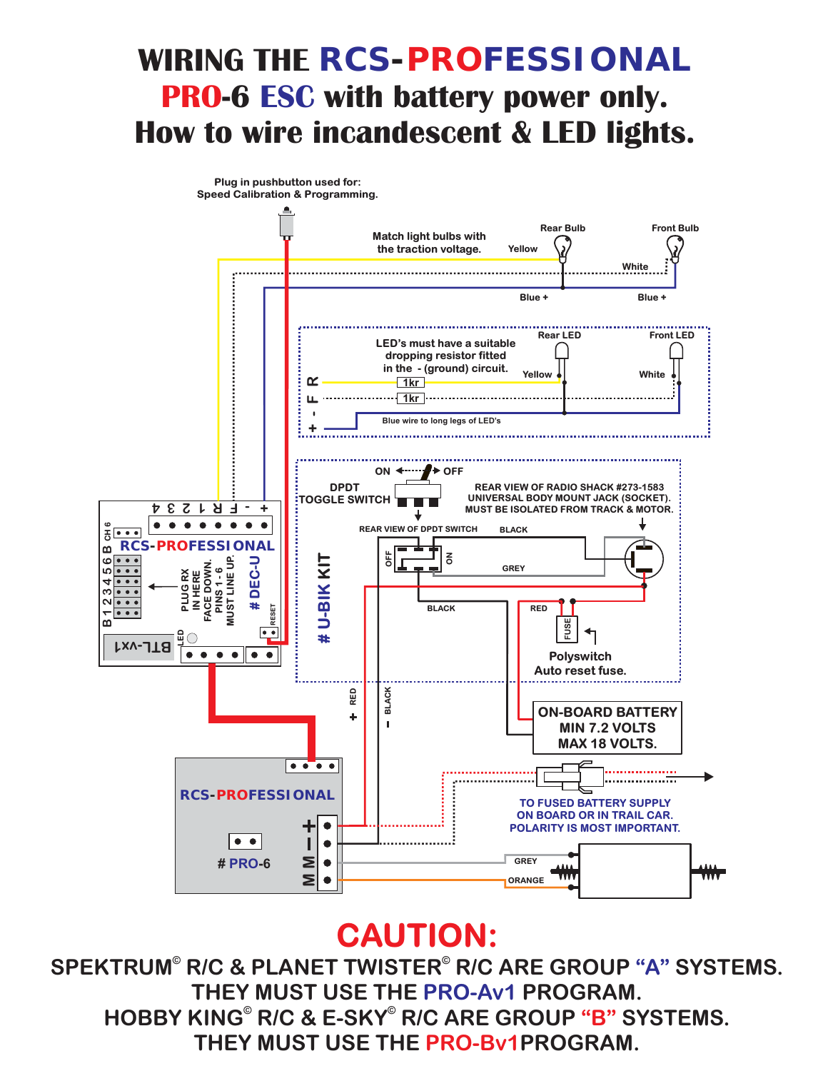## WIRING THE RCS-PROFESSIONAL **PRO-6 ESC with battery power only. How to wire incandescent & LED lights.**



## **CAUTION:**

HOBBY KING<sup>®</sup> R/C & E-SKY<sup>®</sup> R/C ARE GROUP "B" SYSTEMS. **THEY MUST USE THE PRO-Bv1PROGRAM.** SPEKTRUM® R/C & PLANET TWISTER® R/C ARE GROUP "A" SYSTEMS. **THEY MUST USE THE PRO-Av1 PROGRAM.**